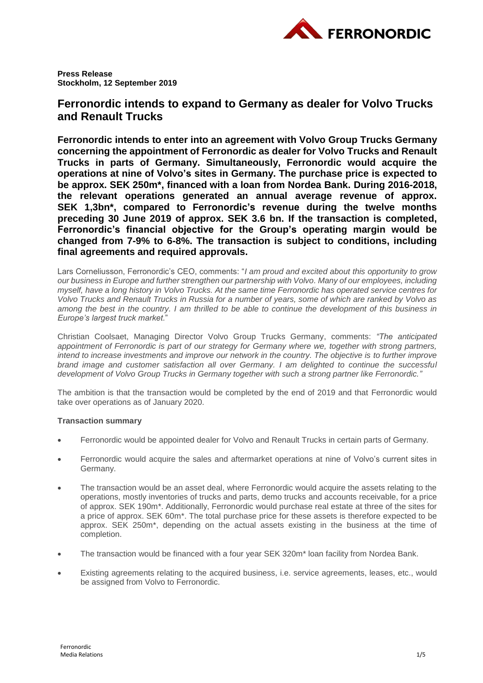

**Press Release Stockholm, 12 September 2019**

# **Ferronordic intends to expand to Germany as dealer for Volvo Trucks and Renault Trucks**

**Ferronordic intends to enter into an agreement with Volvo Group Trucks Germany concerning the appointment of Ferronordic as dealer for Volvo Trucks and Renault Trucks in parts of Germany. Simultaneously, Ferronordic would acquire the operations at nine of Volvo's sites in Germany. The purchase price is expected to be approx. SEK 250m\*, financed with a loan from Nordea Bank. During 2016-2018, the relevant operations generated an annual average revenue of approx. SEK 1,3bn\*, compared to Ferronordic's revenue during the twelve months preceding 30 June 2019 of approx. SEK 3.6 bn. If the transaction is completed, Ferronordic's financial objective for the Group's operating margin would be changed from 7-9% to 6-8%. The transaction is subject to conditions, including final agreements and required approvals.**

Lars Corneliusson, Ferronordic's CEO, comments: "*I am proud and excited about this opportunity to grow our business in Europe and further strengthen our partnership with Volvo. Many of our employees, including myself, have a long history in Volvo Trucks. At the same time Ferronordic has operated service centres for Volvo Trucks and Renault Trucks in Russia for a number of years, some of which are ranked by Volvo as among the best in the country. I am thrilled to be able to continue the development of this business in Europe's largest truck market.*"

Christian Coolsaet, Managing Director Volvo Group Trucks Germany, comments: *"The anticipated appointment of Ferronordic is part of our strategy for Germany where we, together with strong partners, intend to increase investments and improve our network in the country. The objective is to further improve brand image and customer satisfaction all over Germany. I am delighted to continue the successful development of Volvo Group Trucks in Germany together with such a strong partner like Ferronordic."*

The ambition is that the transaction would be completed by the end of 2019 and that Ferronordic would take over operations as of January 2020.

## **Transaction summary**

- Ferronordic would be appointed dealer for Volvo and Renault Trucks in certain parts of Germany.
- Ferronordic would acquire the sales and aftermarket operations at nine of Volvo's current sites in Germany.
- The transaction would be an asset deal, where Ferronordic would acquire the assets relating to the operations, mostly inventories of trucks and parts, demo trucks and accounts receivable, for a price of approx. SEK 190m\*. Additionally, Ferronordic would purchase real estate at three of the sites for a price of approx. SEK 60m\*. The total purchase price for these assets is therefore expected to be approx. SEK 250m\*, depending on the actual assets existing in the business at the time of completion.
- The transaction would be financed with a four year SEK 320m<sup>\*</sup> loan facility from Nordea Bank.
- Existing agreements relating to the acquired business, i.e. service agreements, leases, etc., would be assigned from Volvo to Ferronordic.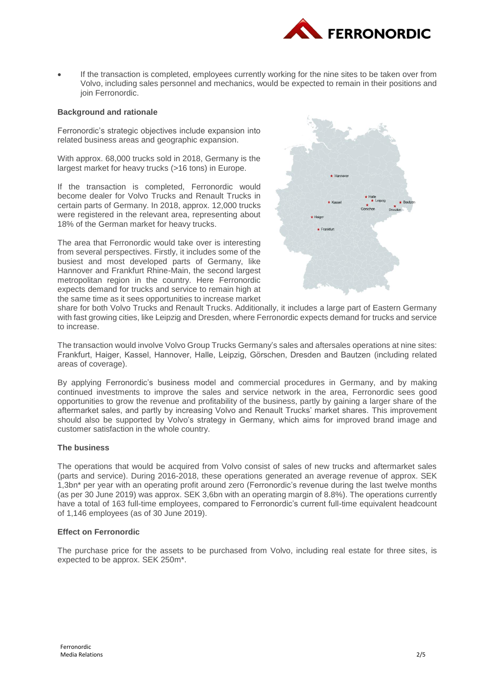

 If the transaction is completed, employees currently working for the nine sites to be taken over from Volvo, including sales personnel and mechanics, would be expected to remain in their positions and join Ferronordic.

## **Background and rationale**

Ferronordic's strategic objectives include expansion into related business areas and geographic expansion.

With approx. 68,000 trucks sold in 2018, Germany is the largest market for heavy trucks (>16 tons) in Europe.

If the transaction is completed, Ferronordic would become dealer for Volvo Trucks and Renault Trucks in certain parts of Germany. In 2018, approx. 12,000 trucks were registered in the relevant area, representing about 18% of the German market for heavy trucks.

The area that Ferronordic would take over is interesting from several perspectives. Firstly, it includes some of the busiest and most developed parts of Germany, like Hannover and Frankfurt Rhine-Main, the second largest metropolitan region in the country. Here Ferronordic expects demand for trucks and service to remain high at the same time as it sees opportunities to increase market



share for both Volvo Trucks and Renault Trucks. Additionally, it includes a large part of Eastern Germany with fast growing cities, like Leipzig and Dresden, where Ferronordic expects demand for trucks and service to increase.

The transaction would involve Volvo Group Trucks Germany's sales and aftersales operations at nine sites: Frankfurt, Haiger, Kassel, Hannover, Halle, Leipzig, Görschen, Dresden and Bautzen (including related areas of coverage).

By applying Ferronordic's business model and commercial procedures in Germany, and by making continued investments to improve the sales and service network in the area, Ferronordic sees good opportunities to grow the revenue and profitability of the business, partly by gaining a larger share of the aftermarket sales, and partly by increasing Volvo and Renault Trucks' market shares. This improvement should also be supported by Volvo's strategy in Germany, which aims for improved brand image and customer satisfaction in the whole country.

### **The business**

The operations that would be acquired from Volvo consist of sales of new trucks and aftermarket sales (parts and service). During 2016-2018, these operations generated an average revenue of approx. SEK 1,3bn\* per year with an operating profit around zero (Ferronordic's revenue during the last twelve months (as per 30 June 2019) was approx. SEK 3,6bn with an operating margin of 8.8%). The operations currently have a total of 163 full-time employees, compared to Ferronordic's current full-time equivalent headcount of 1,146 employees (as of 30 June 2019).

## **Effect on Ferronordic**

The purchase price for the assets to be purchased from Volvo, including real estate for three sites, is expected to be approx. SEK 250m\*.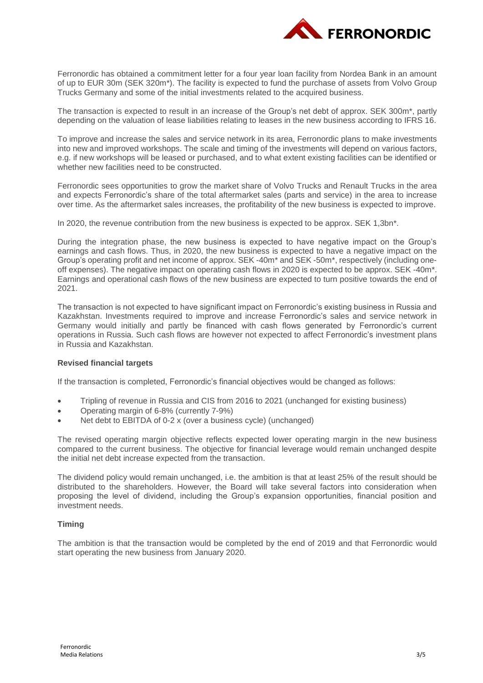

Ferronordic has obtained a commitment letter for a four year loan facility from Nordea Bank in an amount of up to EUR 30m (SEK 320m\*). The facility is expected to fund the purchase of assets from Volvo Group Trucks Germany and some of the initial investments related to the acquired business.

The transaction is expected to result in an increase of the Group's net debt of approx. SEK 300m\*, partly depending on the valuation of lease liabilities relating to leases in the new business according to IFRS 16.

To improve and increase the sales and service network in its area, Ferronordic plans to make investments into new and improved workshops. The scale and timing of the investments will depend on various factors, e.g. if new workshops will be leased or purchased, and to what extent existing facilities can be identified or whether new facilities need to be constructed.

Ferronordic sees opportunities to grow the market share of Volvo Trucks and Renault Trucks in the area and expects Ferronordic's share of the total aftermarket sales (parts and service) in the area to increase over time. As the aftermarket sales increases, the profitability of the new business is expected to improve.

In 2020, the revenue contribution from the new business is expected to be approx. SEK 1,3bn\*.

During the integration phase, the new business is expected to have negative impact on the Group's earnings and cash flows. Thus, in 2020, the new business is expected to have a negative impact on the Group's operating profit and net income of approx. SEK -40m\* and SEK -50m\*, respectively (including oneoff expenses). The negative impact on operating cash flows in 2020 is expected to be approx. SEK -40m\*. Earnings and operational cash flows of the new business are expected to turn positive towards the end of 2021.

The transaction is not expected to have significant impact on Ferronordic's existing business in Russia and Kazakhstan. Investments required to improve and increase Ferronordic's sales and service network in Germany would initially and partly be financed with cash flows generated by Ferronordic's current operations in Russia. Such cash flows are however not expected to affect Ferronordic's investment plans in Russia and Kazakhstan.

### **Revised financial targets**

If the transaction is completed, Ferronordic's financial objectives would be changed as follows:

- Tripling of revenue in Russia and CIS from 2016 to 2021 (unchanged for existing business)
- Operating margin of 6-8% (currently 7-9%)
- Net debt to EBITDA of 0-2 x (over a business cycle) (unchanged)

The revised operating margin objective reflects expected lower operating margin in the new business compared to the current business. The objective for financial leverage would remain unchanged despite the initial net debt increase expected from the transaction.

The dividend policy would remain unchanged, i.e. the ambition is that at least 25% of the result should be distributed to the shareholders. However, the Board will take several factors into consideration when proposing the level of dividend, including the Group's expansion opportunities, financial position and investment needs.

## **Timing**

The ambition is that the transaction would be completed by the end of 2019 and that Ferronordic would start operating the new business from January 2020.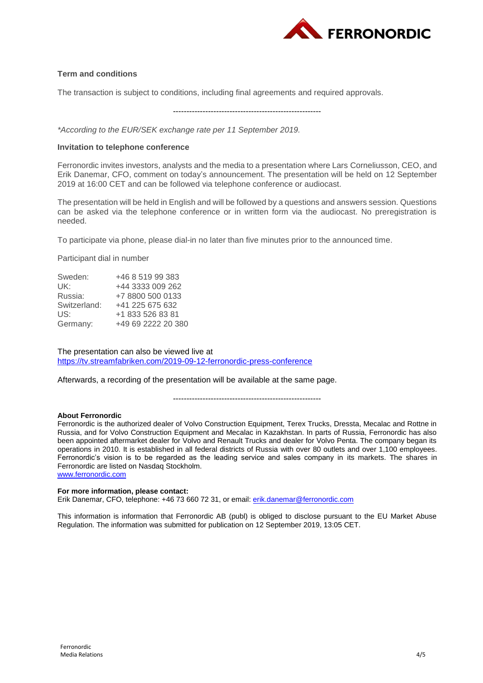

## **Term and conditions**

The transaction is subject to conditions, including final agreements and required approvals.

-------------------------------------------------------

*\*According to the EUR/SEK exchange rate per 11 September 2019.*

## **Invitation to telephone conference**

Ferronordic invites investors, analysts and the media to a presentation where Lars Corneliusson, CEO, and Erik Danemar, CFO, comment on today's announcement. The presentation will be held on 12 September 2019 at 16:00 CET and can be followed via telephone conference or audiocast.

The presentation will be held in English and will be followed by a questions and answers session. Questions can be asked via the telephone conference or in written form via the audiocast. No preregistration is needed.

To participate via phone, please dial-in no later than five minutes prior to the announced time.

Participant dial in number

| Sweden:      | +46 8 519 99 383   |
|--------------|--------------------|
| UK:          | +44 3333 009 262   |
| Russia:      | +7 8800 500 0133   |
| Switzerland: | +41 225 675 632    |
| US:          | +1 833 526 83 81   |
| Germany:     | +49 69 2222 20 380 |

The presentation can also be viewed live at <https://tv.streamfabriken.com/2019-09-12-ferronordic-press-conference>

Afterwards, a recording of the presentation will be available at the same page.

-------------------------------------------------------

### **About Ferronordic**

Ferronordic is the authorized dealer of Volvo Construction Equipment, Terex Trucks, Dressta, Mecalac and Rottne in Russia, and for Volvo Construction Equipment and Mecalac in Kazakhstan. In parts of Russia, Ferronordic has also been appointed aftermarket dealer for Volvo and Renault Trucks and dealer for Volvo Penta. The company began its operations in 2010. It is established in all federal districts of Russia with over 80 outlets and over 1,100 employees. Ferronordic's vision is to be regarded as the leading service and sales company in its markets. The shares in Ferronordic are listed on Nasdaq Stockholm. [www.ferronordic.com](http://www.ferronordic.com/)

## **For more information, please contact:**

Erik Danemar, CFO, telephone: +46 73 660 72 31, or email: [erik.danemar@ferronordic.com](mailto:erik.danemar@ferronordic.com)

This information is information that Ferronordic AB (publ) is obliged to disclose pursuant to the EU Market Abuse Regulation. The information was submitted for publication on 12 September 2019, 13:05 CET.